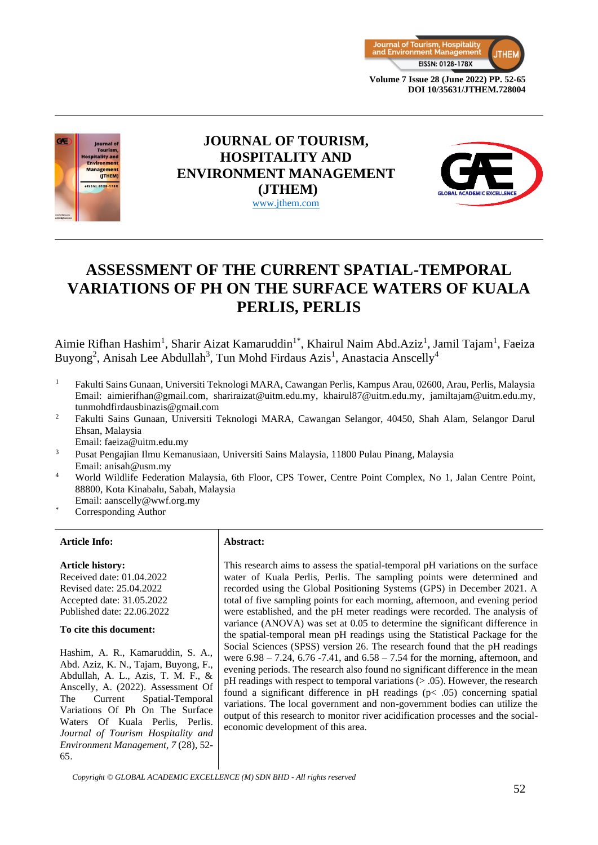



# **JOURNAL OF TOURISM, HOSPITALITY AND ENVIRONMENT MANAGEMENT (JTHEM)** [www.jthem.com](http://www.jthem.com/)



# **ASSESSMENT OF THE CURRENT SPATIAL-TEMPORAL VARIATIONS OF PH ON THE SURFACE WATERS OF KUALA PERLIS, PERLIS**

Aimie Rifhan Hashim<sup>1</sup>, Sharir Aizat Kamaruddin<sup>1\*</sup>, Khairul Naim Abd.Aziz<sup>1</sup>, Jamil Tajam<sup>1</sup>, Faeiza Buyong<sup>2</sup>, Anisah Lee Abdullah<sup>3</sup>, Tun Mohd Firdaus Azis<sup>1</sup>, Anastacia Anscelly<sup>4</sup>

- <sup>1</sup> Fakulti Sains Gunaan, Universiti Teknologi MARA, Cawangan Perlis, Kampus Arau, 02600, Arau, Perlis, Malaysia Email: aimierifhan@gmail.com, shariraizat@uitm.edu.my, khairul87@uitm.edu.my, jamiltajam@uitm.edu.my, tunmohdfirdausbinazis@gmail.com
- <sup>2</sup> Fakulti Sains Gunaan, Universiti Teknologi MARA, Cawangan Selangor, 40450, Shah Alam, Selangor Darul Ehsan, Malaysia
- Email: faeiza@uitm.edu.my
- <sup>3</sup> Pusat Pengajian Ilmu Kemanusiaan, Universiti Sains Malaysia, 11800 Pulau Pinang, Malaysia Email: anisah@usm.my
- <sup>4</sup> World Wildlife Federation Malaysia, 6th Floor, CPS Tower, Centre Point Complex, No 1, Jalan Centre Point, 88800, Kota Kinabalu, Sabah, Malaysia
- Email: aanscelly@wwf.org.my
- Corresponding Author

#### **Article Info: Abstract:**

#### **Article history:**

Received date: 01.04.2022 Revised date: 25.04.2022 Accepted date: 31.05.2022 Published date: 22.06.2022

#### **To cite this document:**

Hashim, A. R., Kamaruddin, S. A., Abd. Aziz, K. N., Tajam, Buyong, F., Abdullah, A. L., Azis, T. M. F., & Anscelly, A. (2022). Assessment Of The Current Spatial-Temporal Variations Of Ph On The Surface Waters Of Kuala Perlis, Perlis. *Journal of Tourism Hospitality and Environment Management, 7* (28), 52- 65.

This research aims to assess the spatial-temporal pH variations on the surface water of Kuala Perlis, Perlis. The sampling points were determined and recorded using the Global Positioning Systems (GPS) in December 2021. A total of five sampling points for each morning, afternoon, and evening period were established, and the pH meter readings were recorded. The analysis of variance (ANOVA) was set at 0.05 to determine the significant difference in the spatial-temporal mean pH readings using the Statistical Package for the Social Sciences (SPSS) version 26. The research found that the pH readings were 6.98 – 7.24, 6.76 -7.41, and 6.58 – 7.54 for the morning, afternoon, and evening periods. The research also found no significant difference in the mean pH readings with respect to temporal variations  $(> .05)$ . However, the research found a significant difference in  $pH$  readings ( $p < .05$ ) concerning spatial variations. The local government and non-government bodies can utilize the output of this research to monitor river acidification processes and the socialeconomic development of this area.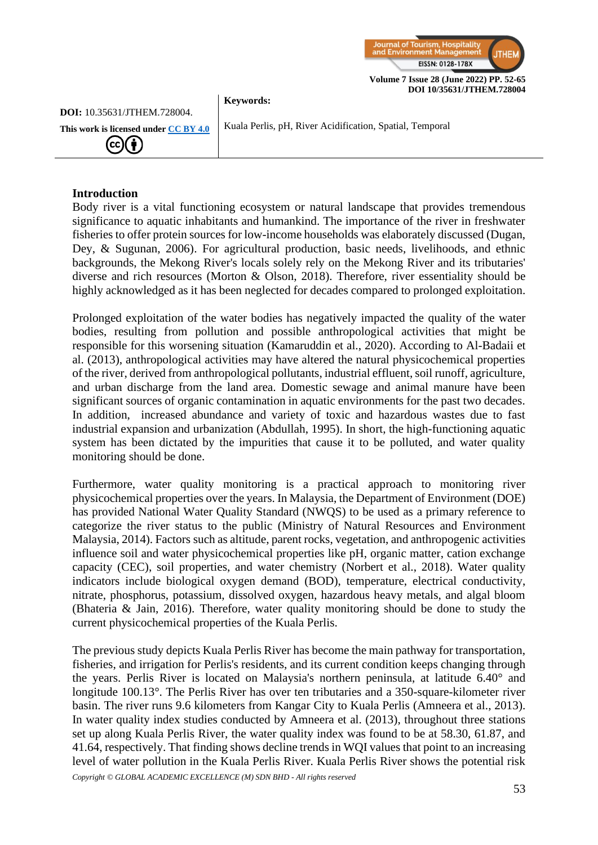

#### **Keywords:**

**This work is licensed under [CC BY 4.0](https://creativecommons.org/licenses/by/4.0/?ref=chooser-v1)**  $(cc)(\dagger)$ 

**DOI:** 10.35631/JTHEM.728004.

Kuala Perlis, pH, River Acidification, Spatial, Temporal

# **Introduction**

Body river is a vital functioning ecosystem or natural landscape that provides tremendous significance to aquatic inhabitants and humankind. The importance of the river in freshwater fisheries to offer protein sources for low-income households was elaborately discussed (Dugan, Dey, & Sugunan, 2006). For agricultural production, basic needs, livelihoods, and ethnic backgrounds, the Mekong River's locals solely rely on the Mekong River and its tributaries' diverse and rich resources (Morton & Olson, 2018). Therefore, river essentiality should be highly acknowledged as it has been neglected for decades compared to prolonged exploitation.

Prolonged exploitation of the water bodies has negatively impacted the quality of the water bodies, resulting from pollution and possible anthropological activities that might be responsible for this worsening situation (Kamaruddin et al., 2020). According to Al-Badaii et al. (2013), anthropological activities may have altered the natural physicochemical properties of the river, derived from anthropological pollutants, industrial effluent, soil runoff, agriculture, and urban discharge from the land area. Domestic sewage and animal manure have been significant sources of organic contamination in aquatic environments for the past two decades. In addition, increased abundance and variety of toxic and hazardous wastes due to fast industrial expansion and urbanization (Abdullah, 1995). In short, the high-functioning aquatic system has been dictated by the impurities that cause it to be polluted, and water quality monitoring should be done.

Furthermore, water quality monitoring is a practical approach to monitoring river physicochemical properties over the years. In Malaysia, the Department of Environment (DOE) has provided National Water Quality Standard (NWQS) to be used as a primary reference to categorize the river status to the public (Ministry of Natural Resources and Environment Malaysia, 2014). Factors such as altitude, parent rocks, vegetation, and anthropogenic activities influence soil and water physicochemical properties like pH, organic matter, cation exchange capacity (CEC), soil properties, and water chemistry (Norbert et al., 2018). Water quality indicators include biological oxygen demand (BOD), temperature, electrical conductivity, nitrate, phosphorus, potassium, dissolved oxygen, hazardous heavy metals, and algal bloom (Bhateria & Jain, 2016). Therefore, water quality monitoring should be done to study the current physicochemical properties of the Kuala Perlis.

The previous study depicts Kuala Perlis River has become the main pathway for transportation, fisheries, and irrigation for Perlis's residents, and its current condition keeps changing through the years. Perlis River is located on Malaysia's northern peninsula, at latitude 6.40° and longitude 100.13°. The Perlis River has over ten tributaries and a 350-square-kilometer river basin. The river runs 9.6 kilometers from Kangar City to Kuala Perlis (Amneera et al., 2013). In water quality index studies conducted by Amneera et al. (2013), throughout three stations set up along Kuala Perlis River, the water quality index was found to be at 58.30, 61.87, and 41.64, respectively. That finding shows decline trends in WQI values that point to an increasing level of water pollution in the Kuala Perlis River. Kuala Perlis River shows the potential risk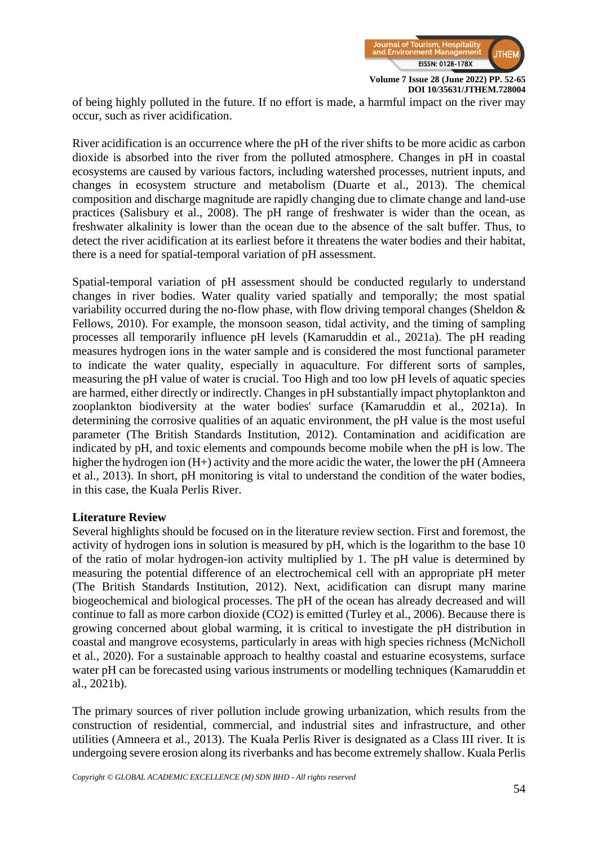

of being highly polluted in the future. If no effort is made, a harmful impact on the river may occur, such as river acidification.

River acidification is an occurrence where the pH of the river shifts to be more acidic as carbon dioxide is absorbed into the river from the polluted atmosphere. Changes in pH in coastal ecosystems are caused by various factors, including watershed processes, nutrient inputs, and changes in ecosystem structure and metabolism (Duarte et al., 2013). The chemical composition and discharge magnitude are rapidly changing due to climate change and land-use practices (Salisbury et al., 2008). The pH range of freshwater is wider than the ocean, as freshwater alkalinity is lower than the ocean due to the absence of the salt buffer. Thus, to detect the river acidification at its earliest before it threatens the water bodies and their habitat, there is a need for spatial-temporal variation of pH assessment.

Spatial-temporal variation of pH assessment should be conducted regularly to understand changes in river bodies. Water quality varied spatially and temporally; the most spatial variability occurred during the no-flow phase, with flow driving temporal changes (Sheldon & Fellows, 2010). For example, the monsoon season, tidal activity, and the timing of sampling processes all temporarily influence pH levels (Kamaruddin et al., 2021a). The pH reading measures hydrogen ions in the water sample and is considered the most functional parameter to indicate the water quality, especially in aquaculture. For different sorts of samples, measuring the pH value of water is crucial. Too High and too low pH levels of aquatic species are harmed, either directly or indirectly. Changes in pH substantially impact phytoplankton and zooplankton biodiversity at the water bodies' surface (Kamaruddin et al., 2021a). In determining the corrosive qualities of an aquatic environment, the pH value is the most useful parameter (The British Standards Institution, 2012). Contamination and acidification are indicated by pH, and toxic elements and compounds become mobile when the pH is low. The higher the hydrogen ion (H+) activity and the more acidic the water, the lower the pH (Amneera et al., 2013). In short, pH monitoring is vital to understand the condition of the water bodies, in this case, the Kuala Perlis River.

#### **Literature Review**

Several highlights should be focused on in the literature review section. First and foremost, the activity of hydrogen ions in solution is measured by pH, which is the logarithm to the base 10 of the ratio of molar hydrogen-ion activity multiplied by 1. The pH value is determined by measuring the potential difference of an electrochemical cell with an appropriate pH meter (The British Standards Institution, 2012). Next, acidification can disrupt many marine biogeochemical and biological processes. The pH of the ocean has already decreased and will continue to fall as more carbon dioxide (CO2) is emitted (Turley et al., 2006). Because there is growing concerned about global warming, it is critical to investigate the pH distribution in coastal and mangrove ecosystems, particularly in areas with high species richness (McNicholl et al., 2020). For a sustainable approach to healthy coastal and estuarine ecosystems, surface water pH can be forecasted using various instruments or modelling techniques (Kamaruddin et al., 2021b).

The primary sources of river pollution include growing urbanization, which results from the construction of residential, commercial, and industrial sites and infrastructure, and other utilities (Amneera et al., 2013). The Kuala Perlis River is designated as a Class III river. It is undergoing severe erosion along its riverbanks and has become extremely shallow. Kuala Perlis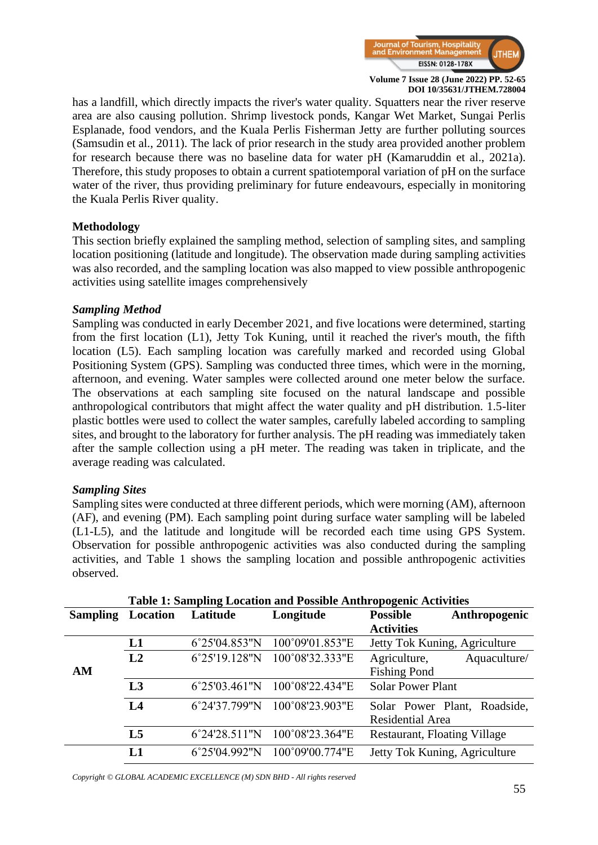

has a landfill, which directly impacts the river's water quality. Squatters near the river reserve area are also causing pollution. Shrimp livestock ponds, Kangar Wet Market, Sungai Perlis Esplanade, food vendors, and the Kuala Perlis Fisherman Jetty are further polluting sources (Samsudin et al., 2011). The lack of prior research in the study area provided another problem for research because there was no baseline data for water pH (Kamaruddin et al., 2021a). Therefore, this study proposes to obtain a current spatiotemporal variation of pH on the surface water of the river, thus providing preliminary for future endeavours, especially in monitoring the Kuala Perlis River quality.

### **Methodology**

This section briefly explained the sampling method, selection of sampling sites, and sampling location positioning (latitude and longitude). The observation made during sampling activities was also recorded, and the sampling location was also mapped to view possible anthropogenic activities using satellite images comprehensively

### *Sampling Method*

Sampling was conducted in early December 2021, and five locations were determined, starting from the first location (L1), Jetty Tok Kuning, until it reached the river's mouth, the fifth location (L5). Each sampling location was carefully marked and recorded using Global Positioning System (GPS). Sampling was conducted three times, which were in the morning, afternoon, and evening. Water samples were collected around one meter below the surface. The observations at each sampling site focused on the natural landscape and possible anthropological contributors that might affect the water quality and pH distribution. 1.5-liter plastic bottles were used to collect the water samples, carefully labeled according to sampling sites, and brought to the laboratory for further analysis. The pH reading was immediately taken after the sample collection using a pH meter. The reading was taken in triplicate, and the average reading was calculated.

# *Sampling Sites*

Sampling sites were conducted at three different periods, which were morning (AM), afternoon (AF), and evening (PM). Each sampling point during surface water sampling will be labeled (L1-L5), and the latitude and longitude will be recorded each time using GPS System. Observation for possible anthropogenic activities was also conducted during the sampling activities, and Table 1 shows the sampling location and possible anthropogenic activities observed.

|                 | Table 1: Sampling Location and Possible Anthropogenic Activities |               |                               |                                     |  |  |
|-----------------|------------------------------------------------------------------|---------------|-------------------------------|-------------------------------------|--|--|
| <b>Sampling</b> | Location                                                         | Latitude      | Longitude                     | <b>Possible</b><br>Anthropogenic    |  |  |
|                 |                                                                  |               |                               | <b>Activities</b>                   |  |  |
|                 | L1                                                               | 6°25'04.853"N | 100°09'01.853"E               | Jetty Tok Kuning, Agriculture       |  |  |
|                 | L2                                                               | 6°25'19.128"N | 100°08'32.333"E               | Agriculture,<br>Aquaculture/        |  |  |
| AM              |                                                                  |               |                               | <b>Fishing Pond</b>                 |  |  |
|                 | L <sub>3</sub>                                                   |               | 6°25'03.461"N 100°08'22.434"E | <b>Solar Power Plant</b>            |  |  |
|                 | L4                                                               | 6°24'37.799"N | 100°08'23.903"E               | Solar Power Plant, Roadside,        |  |  |
|                 |                                                                  |               |                               | Residential Area                    |  |  |
|                 | L <sub>5</sub>                                                   | 6°24'28.511"N | 100°08'23.364"E               | <b>Restaurant, Floating Village</b> |  |  |
|                 | L1                                                               | 6°25'04.992"N | 100°09'00.774"E               | Jetty Tok Kuning, Agriculture       |  |  |

**Table 1: Sampling Location and Possible Anthropogenic Activities**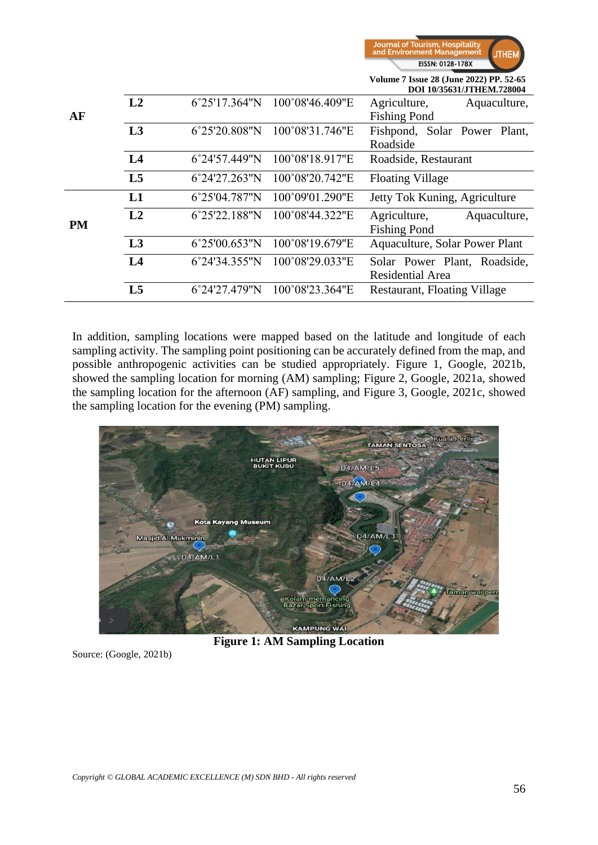| <b>Journal of Tourism, Hospitality</b><br>and Environment Management | <b>JTHEM</b> |
|----------------------------------------------------------------------|--------------|
| EISSN: 0128-178X                                                     |              |

**Volume 7 Issue 28 (June 2022) PP. 52-65**

|           |                |               |                               | DOI 10/35631/JTHEM.728004           |
|-----------|----------------|---------------|-------------------------------|-------------------------------------|
|           | L2             |               | 6°25'17.364"N 100°08'46.409"E | Agriculture,<br>Aquaculture,        |
| AF        |                |               |                               | <b>Fishing Pond</b>                 |
|           | L3             | 6°25'20.808"N | 100°08'31.746"E               | Fishpond, Solar Power Plant,        |
|           |                |               |                               | Roadside                            |
|           | L <sub>4</sub> | 6°24'57.449"N | 100°08'18.917"E               | Roadside, Restaurant                |
|           | L <sub>5</sub> | 6°24'27.263"N | 100°08'20.742"E               | <b>Floating Village</b>             |
|           | L1             | 6°25'04.787"N | 100°09'01.290"E               | Jetty Tok Kuning, Agriculture       |
| <b>PM</b> | L2             | 6°25'22.188"N | 100°08'44.322"E               | Agriculture,<br>Aquaculture,        |
|           |                |               |                               | <b>Fishing Pond</b>                 |
|           | L3             | 6°25'00.653"N | 100°08'19.679"E               | Aquaculture, Solar Power Plant      |
|           | L <sub>4</sub> | 6°24'34.355"N | 100°08'29.033"E               | Solar Power Plant, Roadside,        |
|           |                |               |                               | Residential Area                    |
|           | L <sub>5</sub> | 6°24'27.479"N | 100°08'23.364"E               | <b>Restaurant, Floating Village</b> |
|           |                |               |                               |                                     |

In addition, sampling locations were mapped based on the latitude and longitude of each sampling activity. The sampling point positioning can be accurately defined from the map, and possible anthropogenic activities can be studied appropriately. Figure 1, Google, 2021b, showed the sampling location for morning (AM) sampling; Figure 2, Google, 2021a, showed the sampling location for the afternoon (AF) sampling, and Figure 3, Google, 2021c, showed the sampling location for the evening (PM) sampling.



**Figure 1: AM Sampling Location** 

Source: (Google, 2021b)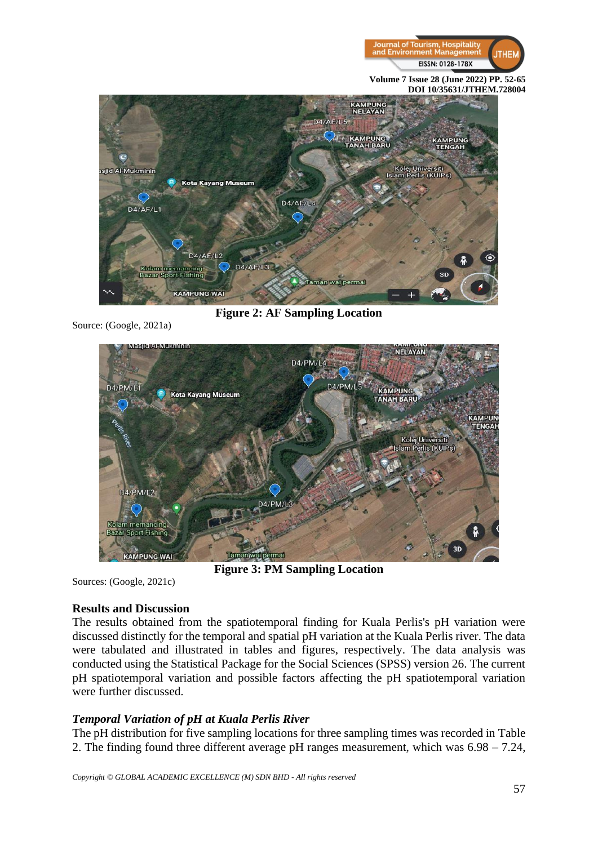



**Figure 2: AF Sampling Location** 

Source: (Google, 2021a)



**Figure 3: PM Sampling Location** 

Sources: (Google, 2021c)

#### **Results and Discussion**

The results obtained from the spatiotemporal finding for Kuala Perlis's pH variation were discussed distinctly for the temporal and spatial pH variation at the Kuala Perlis river. The data were tabulated and illustrated in tables and figures, respectively. The data analysis was conducted using the Statistical Package for the Social Sciences (SPSS) version 26. The current pH spatiotemporal variation and possible factors affecting the pH spatiotemporal variation were further discussed.

# *Temporal Variation of pH at Kuala Perlis River*

The pH distribution for five sampling locations for three sampling times was recorded in Table 2. The finding found three different average pH ranges measurement, which was 6.98 – 7.24,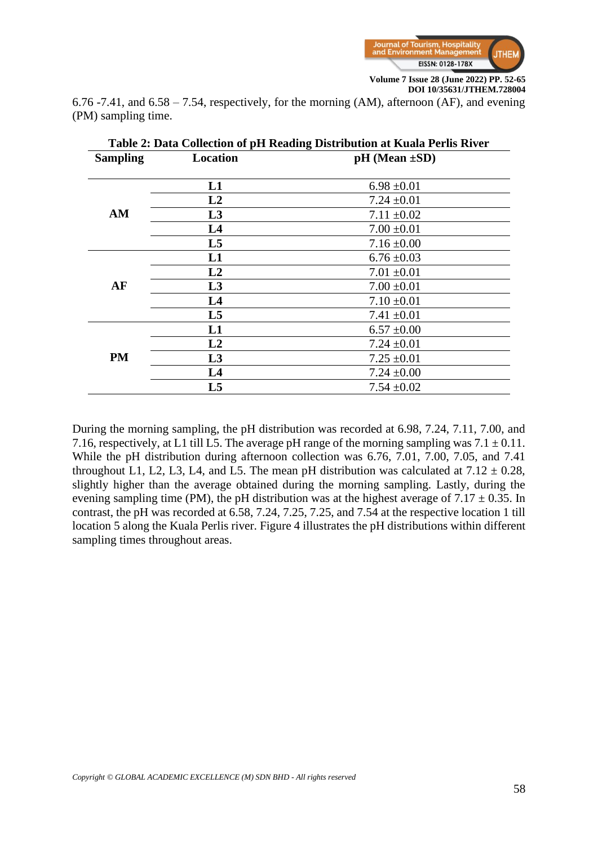

6.76 -7.41, and 6.58 – 7.54, respectively, for the morning (AM), afternoon (AF), and evening (PM) sampling time.

| Table 2: Data Collection of pH Reading Distribution at Kuala Perlis River |                |                       |  |  |  |
|---------------------------------------------------------------------------|----------------|-----------------------|--|--|--|
| <b>Sampling</b>                                                           | Location       | $pH$ (Mean $\pm SD$ ) |  |  |  |
|                                                                           |                |                       |  |  |  |
|                                                                           | L1             | $6.98 \pm 0.01$       |  |  |  |
|                                                                           | L2             | $7.24 \pm 0.01$       |  |  |  |
| AM                                                                        | L3             | $7.11 \pm 0.02$       |  |  |  |
|                                                                           | L <sub>4</sub> | $7.00 \pm 0.01$       |  |  |  |
|                                                                           | L5             | $7.16 \pm 0.00$       |  |  |  |
|                                                                           | L1             | $6.76 \pm 0.03$       |  |  |  |
|                                                                           | L2             | $7.01 \pm 0.01$       |  |  |  |
| AF                                                                        | L3             | $7.00 \pm 0.01$       |  |  |  |
|                                                                           | L <sub>4</sub> | $7.10 \pm 0.01$       |  |  |  |
|                                                                           | L5             | $7.41 \pm 0.01$       |  |  |  |
|                                                                           | L1             | $6.57 \pm 0.00$       |  |  |  |
|                                                                           | L2             | $7.24 \pm 0.01$       |  |  |  |
| PM                                                                        | L3             | $7.25 \pm 0.01$       |  |  |  |
|                                                                           | L <sub>4</sub> | $7.24 \pm 0.00$       |  |  |  |
|                                                                           | L5             | $7.54 \pm 0.02$       |  |  |  |

During the morning sampling, the pH distribution was recorded at 6.98, 7.24, 7.11, 7.00, and 7.16, respectively, at L1 till L5. The average pH range of the morning sampling was  $7.1 \pm 0.11$ . While the pH distribution during afternoon collection was 6.76, 7.01, 7.00, 7.05, and 7.41 throughout L1, L2, L3, L4, and L5. The mean pH distribution was calculated at  $7.12 \pm 0.28$ , slightly higher than the average obtained during the morning sampling. Lastly, during the evening sampling time (PM), the pH distribution was at the highest average of  $7.17 \pm 0.35$ . In contrast, the pH was recorded at 6.58, 7.24, 7.25, 7.25, and 7.54 at the respective location 1 till location 5 along the Kuala Perlis river. Figure 4 illustrates the pH distributions within different sampling times throughout areas.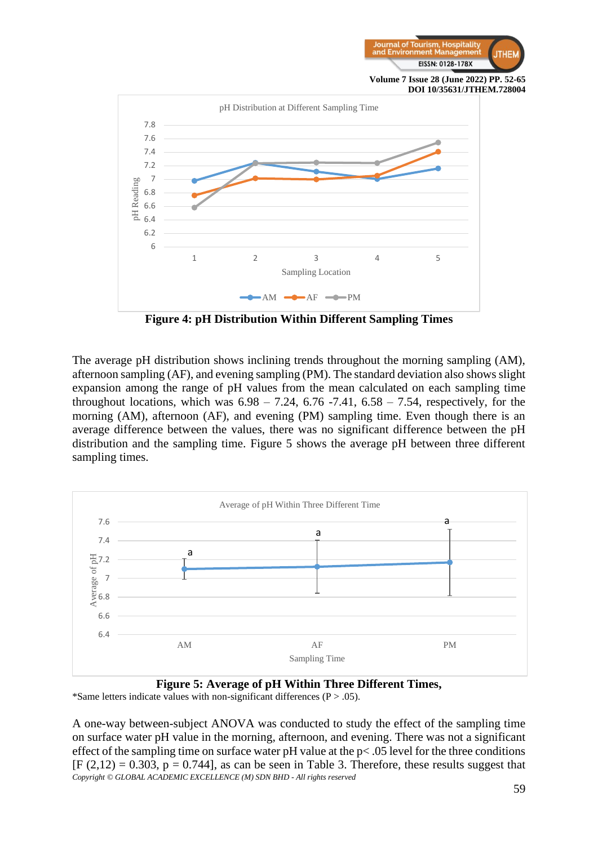



**Figure 4: pH Distribution Within Different Sampling Times**

The average pH distribution shows inclining trends throughout the morning sampling (AM), afternoon sampling (AF), and evening sampling (PM). The standard deviation also shows slight expansion among the range of pH values from the mean calculated on each sampling time throughout locations, which was  $6.98 - 7.24$ ,  $6.76 - 7.41$ ,  $6.58 - 7.54$ , respectively, for the morning (AM), afternoon (AF), and evening (PM) sampling time. Even though there is an average difference between the values, there was no significant difference between the pH distribution and the sampling time. Figure 5 shows the average pH between three different sampling times.



**Figure 5: Average of pH Within Three Different Times,** \*Same letters indicate values with non-significant differences ( $P > .05$ ).

*Copyright © GLOBAL ACADEMIC EXCELLENCE (M) SDN BHD - All rights reserved* A one-way between-subject ANOVA was conducted to study the effect of the sampling time on surface water pH value in the morning, afternoon, and evening. There was not a significant effect of the sampling time on surface water pH value at the  $p<.05$  level for the three conditions  $[F (2,12) = 0.303, p = 0.744]$ , as can be seen in Table 3. Therefore, these results suggest that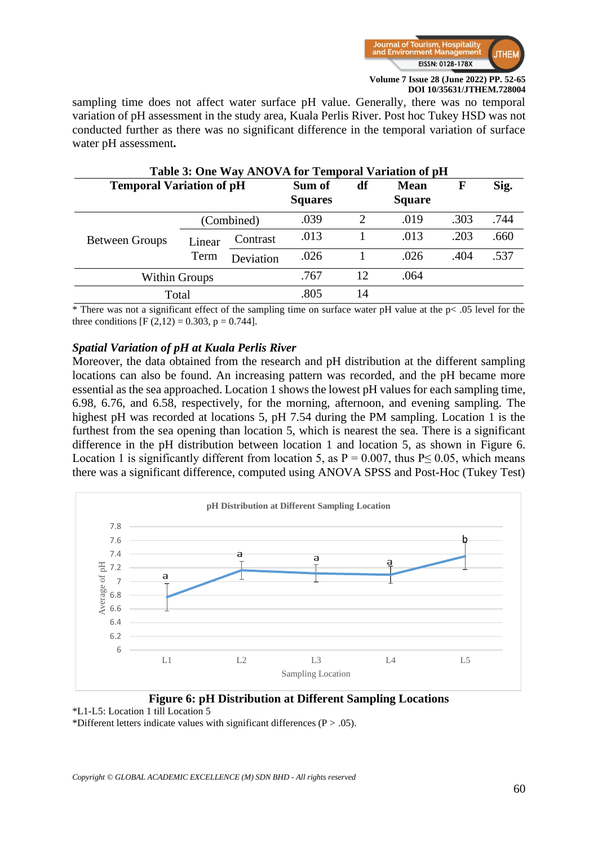

sampling time does not affect water surface pH value. Generally, there was no temporal variation of pH assessment in the study area, Kuala Perlis River. Post hoc Tukey HSD was not conducted further as there was no significant difference in the temporal variation of surface water pH assessment**.**

| Table 3: One Way ANOVA for Temporal Variation of pH |                          |           |                              |    |      |      |      |
|-----------------------------------------------------|--------------------------|-----------|------------------------------|----|------|------|------|
| <b>Temporal Variation of pH</b>                     | Sum of<br><b>Squares</b> | df        | <b>Mean</b><br><b>Square</b> | F  | Sig. |      |      |
|                                                     | (Combined)               |           | .039                         | 2  | .019 | .303 | .744 |
| <b>Between Groups</b>                               | Linear<br>Term           | Contrast  | .013                         |    | .013 | .203 | .660 |
|                                                     |                          | Deviation | .026                         |    | .026 | .404 | .537 |
| Within Groups                                       |                          |           | .767                         | 12 | .064 |      |      |
| Total                                               |                          |           | .805                         | 14 |      |      |      |

\* There was not a significant effect of the sampling time on surface water pH value at the p< .05 level for the three conditions  $[F (2,12) = 0.303, p = 0.744].$ 

#### *Spatial Variation of pH at Kuala Perlis River*

Moreover, the data obtained from the research and pH distribution at the different sampling locations can also be found. An increasing pattern was recorded, and the pH became more essential as the sea approached. Location 1 shows the lowest pH values for each sampling time, 6.98, 6.76, and 6.58, respectively, for the morning, afternoon, and evening sampling. The highest pH was recorded at locations 5, pH 7.54 during the PM sampling. Location 1 is the furthest from the sea opening than location 5, which is nearest the sea. There is a significant difference in the pH distribution between location 1 and location 5, as shown in Figure 6. Location 1 is significantly different from location 5, as  $P = 0.007$ , thus P $\leq 0.05$ , which means there was a significant difference, computed using ANOVA SPSS and Post-Hoc (Tukey Test)



**Figure 6: pH Distribution at Different Sampling Locations** \*L1-L5: Location 1 till Location 5

\*Different letters indicate values with significant differences ( $P > .05$ ).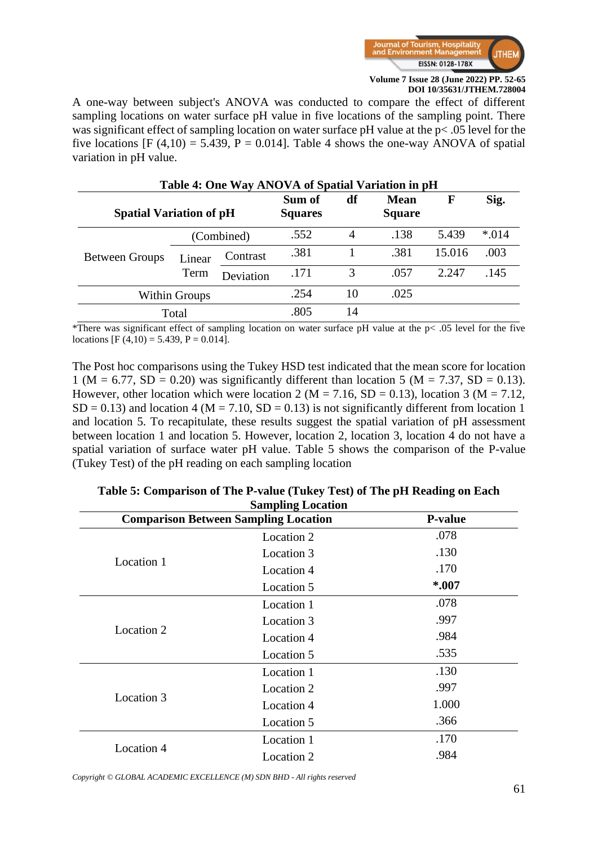

A one-way between subject's ANOVA was conducted to compare the effect of different sampling locations on water surface pH value in five locations of the sampling point. There was significant effect of sampling location on water surface pH value at the p< .05 level for the five locations [F (4,10) = 5.439, P = 0.014]. Table 4 shows the one-way ANOVA of spatial variation in pH value.

| Table 4: One Way ANOVA of Spatial Variation in pH |                |           |                          |    |                              |             |        |
|---------------------------------------------------|----------------|-----------|--------------------------|----|------------------------------|-------------|--------|
| <b>Spatial Variation of pH</b>                    |                |           | Sum of<br><b>Squares</b> | df | <b>Mean</b><br><b>Square</b> | $\mathbf F$ | Sig.   |
|                                                   | (Combined)     |           | .552                     | 4  | .138                         | 5.439       | $*014$ |
| <b>Between Groups</b>                             | Linear<br>Term | Contrast  | .381                     |    | .381                         | 15.016      | .003   |
|                                                   |                | Deviation | .171                     | 3  | .057                         | 2.247       | .145   |
| Within Groups                                     |                |           | .254                     | 10 | .025                         |             |        |
| Total                                             |                |           | .805                     | 14 |                              |             |        |

\*There was significant effect of sampling location on water surface pH value at the p< .05 level for the five locations [F (4,10) = 5.439, P = 0.014].

The Post hoc comparisons using the Tukey HSD test indicated that the mean score for location 1 (M = 6.77, SD = 0.20) was significantly different than location 5 (M = 7.37, SD = 0.13). However, other location which were location 2 ( $M = 7.16$ ,  $SD = 0.13$ ), location 3 ( $M = 7.12$ ,  $SD = 0.13$ ) and location 4 (M = 7.10, SD = 0.13) is not significantly different from location 1 and location 5. To recapitulate, these results suggest the spatial variation of pH assessment between location 1 and location 5. However, location 2, location 3, location 4 do not have a spatial variation of surface water pH value. Table 5 shows the comparison of the P-value (Tukey Test) of the pH reading on each sampling location

|            | <b>Comparison Between Sampling Location</b><br><b>P-value</b> |       |  |  |  |
|------------|---------------------------------------------------------------|-------|--|--|--|
|            | Location 2                                                    | .078  |  |  |  |
|            | Location 3                                                    | .130  |  |  |  |
| Location 1 | Location 4                                                    | .170  |  |  |  |
|            | Location 5                                                    | *.007 |  |  |  |
|            | Location 1                                                    | .078  |  |  |  |
|            | Location 3                                                    | .997  |  |  |  |
| Location 2 | Location 4                                                    | .984  |  |  |  |
|            | Location 5                                                    | .535  |  |  |  |
|            | Location 1                                                    | .130  |  |  |  |
|            | Location 2                                                    | .997  |  |  |  |
| Location 3 | Location 4                                                    | 1.000 |  |  |  |
|            | Location 5                                                    | .366  |  |  |  |
|            | Location 1                                                    | .170  |  |  |  |
| Location 4 | Location 2                                                    | .984  |  |  |  |
|            |                                                               |       |  |  |  |

| Table 5: Comparison of The P-value (Tukey Test) of The pH Reading on Each |
|---------------------------------------------------------------------------|
| <b>Sampling Location</b>                                                  |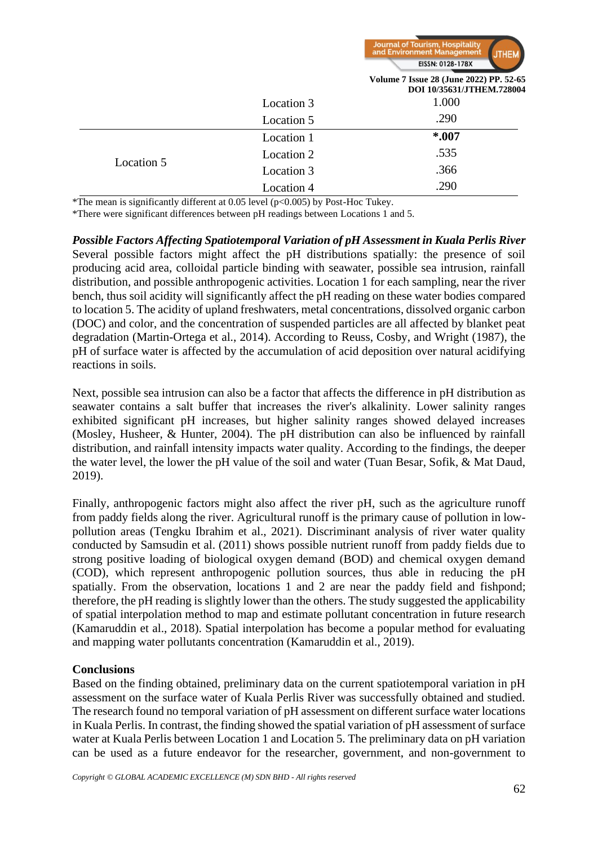

|            |            | Volume 7 Issue 28 (June 2022) PP. 52-65<br>DOI 10/35631/JTHEM.728004 |
|------------|------------|----------------------------------------------------------------------|
|            | Location 3 | 1.000                                                                |
|            | Location 5 | .290                                                                 |
|            | Location 1 | $*007$                                                               |
|            | Location 2 | .535                                                                 |
| Location 5 | Location 3 | .366                                                                 |
|            | Location 4 | .290                                                                 |

\*The mean is significantly different at 0.05 level (p<0.005) by Post-Hoc Tukey.

\*There were significant differences between pH readings between Locations 1 and 5.

*Possible Factors Affecting Spatiotemporal Variation of pH Assessment in Kuala Perlis River*  Several possible factors might affect the pH distributions spatially: the presence of soil producing acid area, colloidal particle binding with seawater, possible sea intrusion, rainfall distribution, and possible anthropogenic activities. Location 1 for each sampling, near the river bench, thus soil acidity will significantly affect the pH reading on these water bodies compared to location 5. The acidity of upland freshwaters, metal concentrations, dissolved organic carbon (DOC) and color, and the concentration of suspended particles are all affected by blanket peat degradation (Martin-Ortega et al., 2014). According to Reuss, Cosby, and Wright (1987), the pH of surface water is affected by the accumulation of acid deposition over natural acidifying reactions in soils.

Next, possible sea intrusion can also be a factor that affects the difference in pH distribution as seawater contains a salt buffer that increases the river's alkalinity. Lower salinity ranges exhibited significant pH increases, but higher salinity ranges showed delayed increases (Mosley, Husheer, & Hunter, 2004). The pH distribution can also be influenced by rainfall distribution, and rainfall intensity impacts water quality. According to the findings, the deeper the water level, the lower the pH value of the soil and water (Tuan Besar, Sofik, & Mat Daud, 2019).

Finally, anthropogenic factors might also affect the river pH, such as the agriculture runoff from paddy fields along the river. Agricultural runoff is the primary cause of pollution in lowpollution areas (Tengku Ibrahim et al., 2021). Discriminant analysis of river water quality conducted by Samsudin et al. (2011) shows possible nutrient runoff from paddy fields due to strong positive loading of biological oxygen demand (BOD) and chemical oxygen demand (COD), which represent anthropogenic pollution sources, thus able in reducing the pH spatially. From the observation, locations 1 and 2 are near the paddy field and fishpond; therefore, the pH reading is slightly lower than the others. The study suggested the applicability of spatial interpolation method to map and estimate pollutant concentration in future research (Kamaruddin et al., 2018). Spatial interpolation has become a popular method for evaluating and mapping water pollutants concentration (Kamaruddin et al., 2019).

#### **Conclusions**

Based on the finding obtained, preliminary data on the current spatiotemporal variation in pH assessment on the surface water of Kuala Perlis River was successfully obtained and studied. The research found no temporal variation of pH assessment on different surface water locations in Kuala Perlis. In contrast, the finding showed the spatial variation of pH assessment of surface water at Kuala Perlis between Location 1 and Location 5. The preliminary data on pH variation can be used as a future endeavor for the researcher, government, and non-government to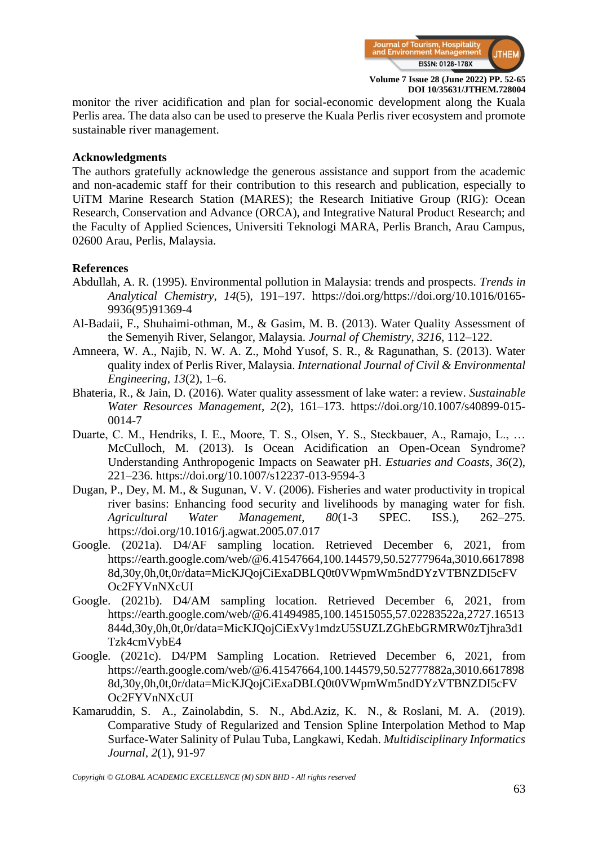

monitor the river acidification and plan for social-economic development along the Kuala Perlis area. The data also can be used to preserve the Kuala Perlis river ecosystem and promote sustainable river management.

#### **Acknowledgments**

The authors gratefully acknowledge the generous assistance and support from the academic and non-academic staff for their contribution to this research and publication, especially to UiTM Marine Research Station (MARES); the Research Initiative Group (RIG): Ocean Research, Conservation and Advance (ORCA), and Integrative Natural Product Research; and the Faculty of Applied Sciences, Universiti Teknologi MARA, Perlis Branch, Arau Campus, 02600 Arau, Perlis, Malaysia.

### **References**

- Abdullah, A. R. (1995). Environmental pollution in Malaysia: trends and prospects. *Trends in Analytical Chemistry*, *14*(5), 191–197. https://doi.org/https://doi.org/10.1016/0165- 9936(95)91369-4
- Al-Badaii, F., Shuhaimi-othman, M., & Gasim, M. B. (2013). Water Quality Assessment of the Semenyih River, Selangor, Malaysia. *Journal of Chemistry*, *3216*, 112–122.
- Amneera, W. A., Najib, N. W. A. Z., Mohd Yusof, S. R., & Ragunathan, S. (2013). Water quality index of Perlis River, Malaysia. *International Journal of Civil & Environmental Engineering*, *13*(2), 1–6.
- Bhateria, R., & Jain, D. (2016). Water quality assessment of lake water: a review. *Sustainable Water Resources Management*, *2*(2), 161–173. https://doi.org/10.1007/s40899-015- 0014-7
- Duarte, C. M., Hendriks, I. E., Moore, T. S., Olsen, Y. S., Steckbauer, A., Ramajo, L., … McCulloch, M. (2013). Is Ocean Acidification an Open-Ocean Syndrome? Understanding Anthropogenic Impacts on Seawater pH. *Estuaries and Coasts*, *36*(2), 221–236. https://doi.org/10.1007/s12237-013-9594-3
- Dugan, P., Dey, M. M., & Sugunan, V. V. (2006). Fisheries and water productivity in tropical river basins: Enhancing food security and livelihoods by managing water for fish. *Agricultural Water Management*, *80*(1-3 SPEC. ISS.), 262–275. https://doi.org/10.1016/j.agwat.2005.07.017
- Google. (2021a). D4/AF sampling location. Retrieved December 6, 2021, from https://earth.google.com/web/@6.41547664,100.144579,50.52777964a,3010.6617898 8d,30y,0h,0t,0r/data=MicKJQojCiExaDBLQ0t0VWpmWm5ndDYzVTBNZDI5cFV Oc2FYVnNXcUI
- Google. (2021b). D4/AM sampling location. Retrieved December 6, 2021, from https://earth.google.com/web/@6.41494985,100.14515055,57.02283522a,2727.16513 844d,30y,0h,0t,0r/data=MicKJQojCiExVy1mdzU5SUZLZGhEbGRMRW0zTjhra3d1 Tzk4cmVybE4
- Google. (2021c). D4/PM Sampling Location. Retrieved December 6, 2021, from https://earth.google.com/web/@6.41547664,100.144579,50.52777882a,3010.6617898 8d,30y,0h,0t,0r/data=MicKJQojCiExaDBLQ0t0VWpmWm5ndDYzVTBNZDI5cFV Oc2FYVnNXcUI
- Kamaruddin, S. A., Zainolabdin, S. N., Abd.Aziz, K. N., & Roslani, M. A. (2019). Comparative Study of Regularized and Tension Spline Interpolation Method to Map Surface-Water Salinity of Pulau Tuba, Langkawi, Kedah. *Multidisciplinary Informatics Journal, 2*(1), 91-97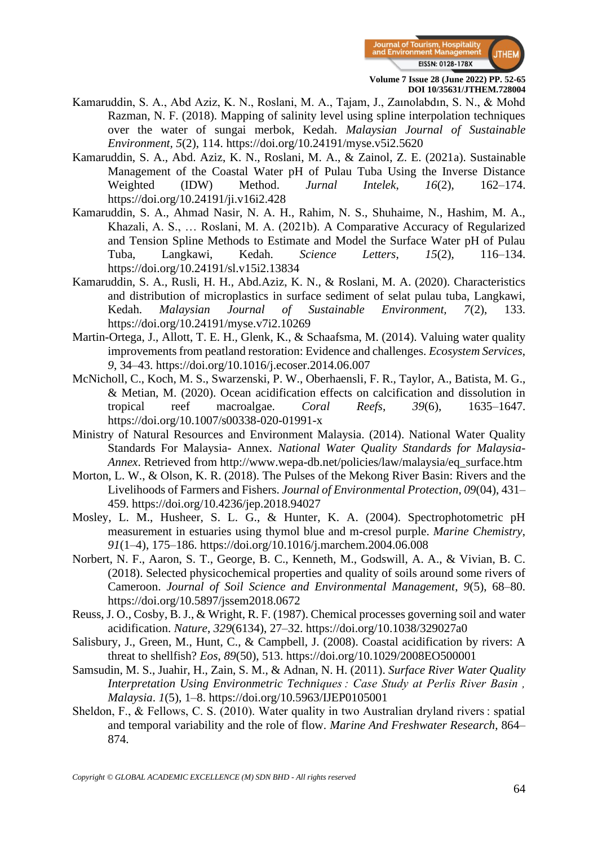

- Kamaruddin, S. A., Abd Aziz, K. N., Roslani, M. A., Tajam, J., Zaınolabdın, S. N., & Mohd Razman, N. F. (2018). Mapping of salinity level using spline interpolation techniques over the water of sungai merbok, Kedah. *Malaysian Journal of Sustainable Environment, 5*(2), 114. https://doi.org/10.24191/myse.v5i2.5620
- Kamaruddin, S. A., Abd. Aziz, K. N., Roslani, M. A., & Zainol, Z. E. (2021a). Sustainable Management of the Coastal Water pH of Pulau Tuba Using the Inverse Distance Weighted (IDW) Method. *Jurnal Intelek*, *16*(2), 162–174. https://doi.org/10.24191/ji.v16i2.428
- Kamaruddin, S. A., Ahmad Nasir, N. A. H., Rahim, N. S., Shuhaime, N., Hashim, M. A., Khazali, A. S., … Roslani, M. A. (2021b). A Comparative Accuracy of Regularized and Tension Spline Methods to Estimate and Model the Surface Water pH of Pulau Tuba, Langkawi, Kedah. *Science Letters*, *15*(2), 116–134. https://doi.org/10.24191/sl.v15i2.13834
- Kamaruddin, S. A., Rusli, H. H., Abd.Aziz, K. N., & Roslani, M. A. (2020). Characteristics and distribution of microplastics in surface sediment of selat pulau tuba, Langkawi, Kedah. *Malaysian Journal of Sustainable Environment, 7*(2), 133. https://doi.org/10.24191/myse.v7i2.10269
- Martin-Ortega, J., Allott, T. E. H., Glenk, K., & Schaafsma, M. (2014). Valuing water quality improvements from peatland restoration: Evidence and challenges. *Ecosystem Services*, *9*, 34–43. https://doi.org/10.1016/j.ecoser.2014.06.007
- McNicholl, C., Koch, M. S., Swarzenski, P. W., Oberhaensli, F. R., Taylor, A., Batista, M. G., & Metian, M. (2020). Ocean acidification effects on calcification and dissolution in tropical reef macroalgae. *Coral Reefs*, *39*(6), 1635–1647. https://doi.org/10.1007/s00338-020-01991-x
- Ministry of Natural Resources and Environment Malaysia. (2014). National Water Quality Standards For Malaysia- Annex. *National Water Quality Standards for Malaysia-Annex*. Retrieved from http://www.wepa-db.net/policies/law/malaysia/eq\_surface.htm
- Morton, L. W., & Olson, K. R. (2018). The Pulses of the Mekong River Basin: Rivers and the Livelihoods of Farmers and Fishers. *Journal of Environmental Protection*, *09*(04), 431– 459. https://doi.org/10.4236/jep.2018.94027
- Mosley, L. M., Husheer, S. L. G., & Hunter, K. A. (2004). Spectrophotometric pH measurement in estuaries using thymol blue and m-cresol purple. *Marine Chemistry*, *91*(1–4), 175–186. https://doi.org/10.1016/j.marchem.2004.06.008
- Norbert, N. F., Aaron, S. T., George, B. C., Kenneth, M., Godswill, A. A., & Vivian, B. C. (2018). Selected physicochemical properties and quality of soils around some rivers of Cameroon. *Journal of Soil Science and Environmental Management*, *9*(5), 68–80. https://doi.org/10.5897/jssem2018.0672
- Reuss, J. O., Cosby, B. J., & Wright, R. F. (1987). Chemical processes governing soil and water acidification. *Nature*, *329*(6134), 27–32. https://doi.org/10.1038/329027a0
- Salisbury, J., Green, M., Hunt, C., & Campbell, J. (2008). Coastal acidification by rivers: A threat to shellfish? *Eos*, *89*(50), 513. https://doi.org/10.1029/2008EO500001
- Samsudin, M. S., Juahir, H., Zain, S. M., & Adnan, N. H. (2011). *Surface River Water Quality Interpretation Using Environmetric Techniques : Case Study at Perlis River Basin , Malaysia*. *1*(5), 1–8. https://doi.org/10.5963/IJEP0105001
- Sheldon, F., & Fellows, C. S. (2010). Water quality in two Australian dryland rivers : spatial and temporal variability and the role of flow. *Marine And Freshwater Research*, 864– 874.